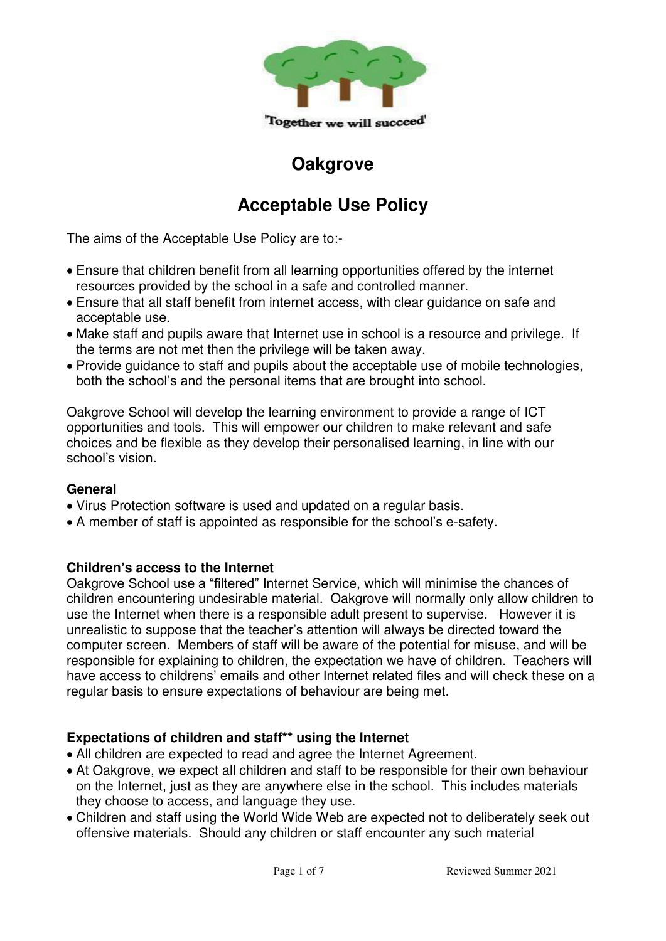

## **Oakgrove**

# **Acceptable Use Policy**

The aims of the Acceptable Use Policy are to:-

- Ensure that children benefit from all learning opportunities offered by the internet resources provided by the school in a safe and controlled manner.
- Ensure that all staff benefit from internet access, with clear guidance on safe and acceptable use.
- Make staff and pupils aware that Internet use in school is a resource and privilege. If the terms are not met then the privilege will be taken away.
- Provide guidance to staff and pupils about the acceptable use of mobile technologies, both the school's and the personal items that are brought into school.

Oakgrove School will develop the learning environment to provide a range of ICT opportunities and tools. This will empower our children to make relevant and safe choices and be flexible as they develop their personalised learning, in line with our school's vision.

## **General**

- Virus Protection software is used and updated on a regular basis.
- A member of staff is appointed as responsible for the school's e-safety.

## **Children's access to the Internet**

Oakgrove School use a "filtered" Internet Service, which will minimise the chances of children encountering undesirable material. Oakgrove will normally only allow children to use the Internet when there is a responsible adult present to supervise. However it is unrealistic to suppose that the teacher's attention will always be directed toward the computer screen. Members of staff will be aware of the potential for misuse, and will be responsible for explaining to children, the expectation we have of children. Teachers will have access to childrens' emails and other Internet related files and will check these on a regular basis to ensure expectations of behaviour are being met.

## **Expectations of children and staff\*\* using the Internet**

- All children are expected to read and agree the Internet Agreement.
- At Oakgrove, we expect all children and staff to be responsible for their own behaviour on the Internet, just as they are anywhere else in the school. This includes materials they choose to access, and language they use.
- Children and staff using the World Wide Web are expected not to deliberately seek out offensive materials. Should any children or staff encounter any such material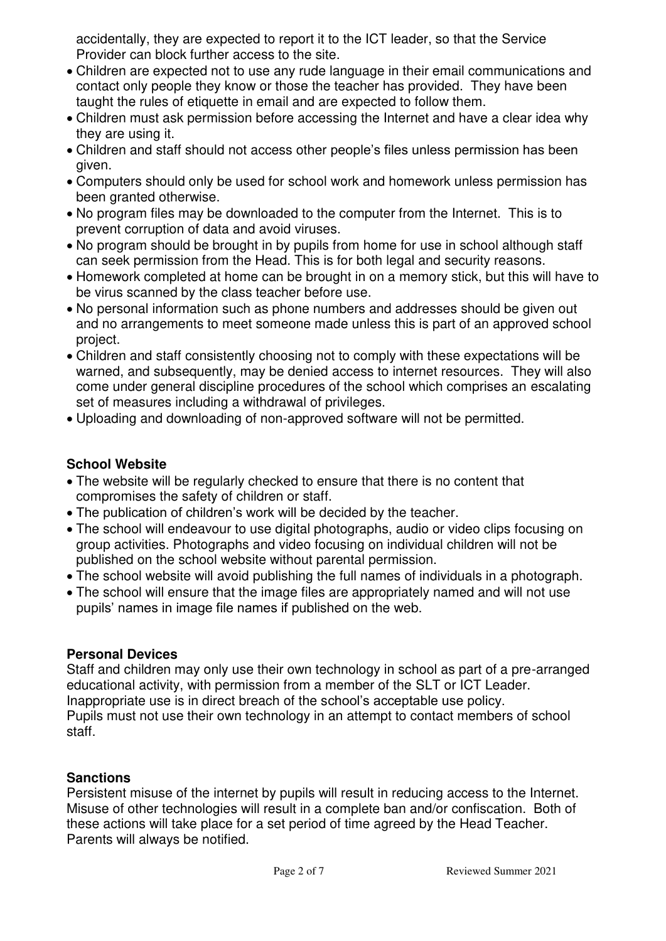accidentally, they are expected to report it to the ICT leader, so that the Service Provider can block further access to the site.

- Children are expected not to use any rude language in their email communications and contact only people they know or those the teacher has provided. They have been taught the rules of etiquette in email and are expected to follow them.
- Children must ask permission before accessing the Internet and have a clear idea why they are using it.
- Children and staff should not access other people's files unless permission has been given.
- Computers should only be used for school work and homework unless permission has been granted otherwise.
- No program files may be downloaded to the computer from the Internet. This is to prevent corruption of data and avoid viruses.
- No program should be brought in by pupils from home for use in school although staff can seek permission from the Head. This is for both legal and security reasons.
- Homework completed at home can be brought in on a memory stick, but this will have to be virus scanned by the class teacher before use.
- No personal information such as phone numbers and addresses should be given out and no arrangements to meet someone made unless this is part of an approved school project.
- Children and staff consistently choosing not to comply with these expectations will be warned, and subsequently, may be denied access to internet resources. They will also come under general discipline procedures of the school which comprises an escalating set of measures including a withdrawal of privileges.
- Uploading and downloading of non-approved software will not be permitted.

## **School Website**

- The website will be regularly checked to ensure that there is no content that compromises the safety of children or staff.
- The publication of children's work will be decided by the teacher.
- The school will endeavour to use digital photographs, audio or video clips focusing on group activities. Photographs and video focusing on individual children will not be published on the school website without parental permission.
- The school website will avoid publishing the full names of individuals in a photograph.
- The school will ensure that the image files are appropriately named and will not use pupils' names in image file names if published on the web.

## **Personal Devices**

Staff and children may only use their own technology in school as part of a pre-arranged educational activity, with permission from a member of the SLT or ICT Leader. Inappropriate use is in direct breach of the school's acceptable use policy. Pupils must not use their own technology in an attempt to contact members of school staff.

## **Sanctions**

Persistent misuse of the internet by pupils will result in reducing access to the Internet. Misuse of other technologies will result in a complete ban and/or confiscation. Both of these actions will take place for a set period of time agreed by the Head Teacher. Parents will always be notified.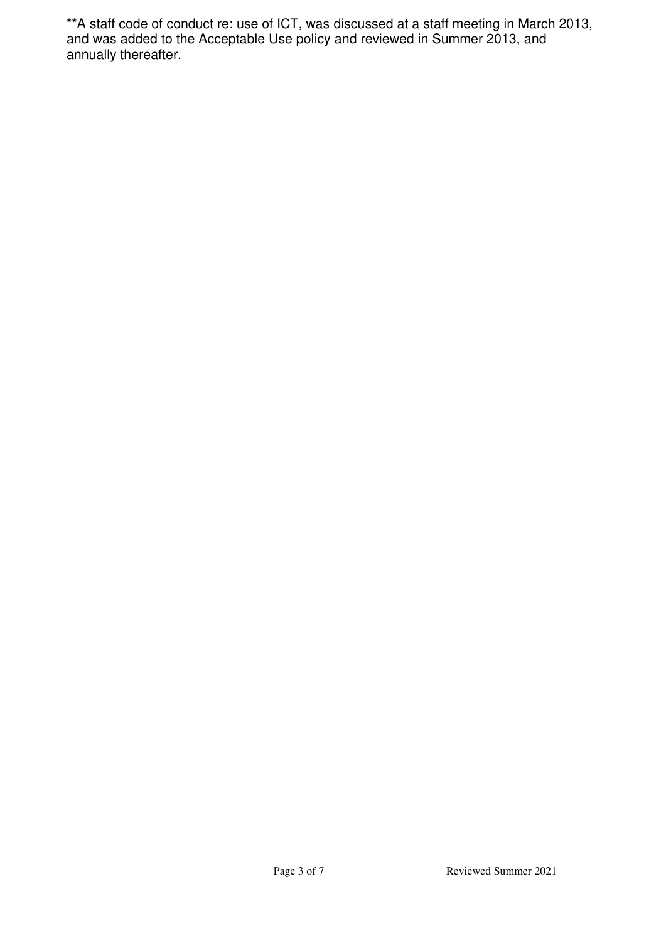\*\*A staff code of conduct re: use of ICT, was discussed at a staff meeting in March 2013, and was added to the Acceptable Use policy and reviewed in Summer 2013, and annually thereafter.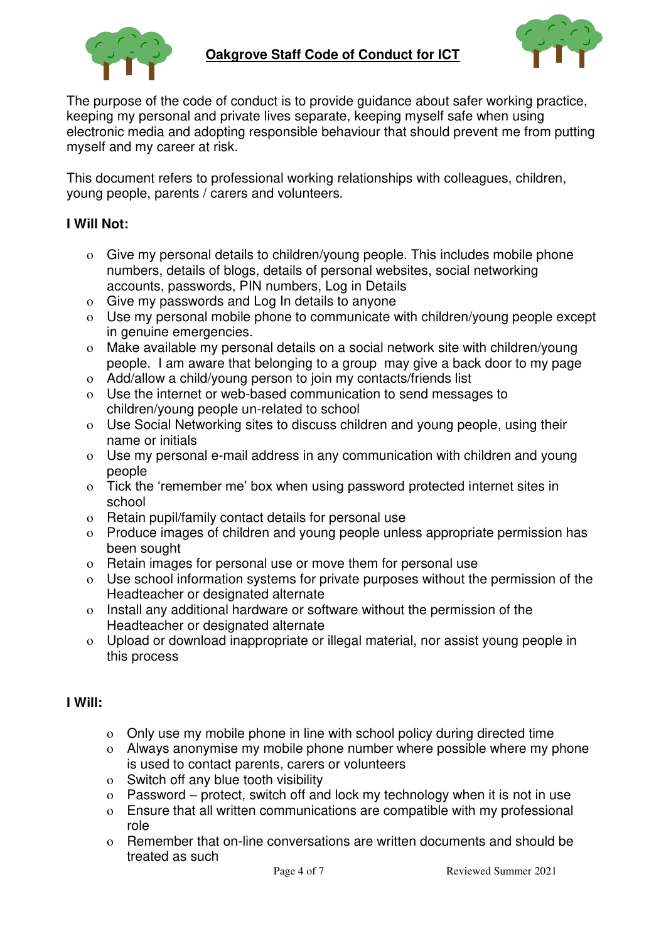



The purpose of the code of conduct is to provide guidance about safer working practice, keeping my personal and private lives separate, keeping myself safe when using electronic media and adopting responsible behaviour that should prevent me from putting myself and my career at risk.

This document refers to professional working relationships with colleagues, children, young people, parents / carers and volunteers.

#### **I Will Not:**

- o Give my personal details to children/young people. This includes mobile phone numbers, details of blogs, details of personal websites, social networking accounts, passwords, PIN numbers, Log in Details
- o Give my passwords and Log In details to anyone
- o Use my personal mobile phone to communicate with children/young people except in genuine emergencies.
- o Make available my personal details on a social network site with children/young people. I am aware that belonging to a group may give a back door to my page
- o Add/allow a child/young person to join my contacts/friends list
- o Use the internet or web-based communication to send messages to children/young people un-related to school
- o Use Social Networking sites to discuss children and young people, using their name or initials
- o Use my personal e-mail address in any communication with children and young people
- o Tick the 'remember me' box when using password protected internet sites in school
- o Retain pupil/family contact details for personal use
- o Produce images of children and young people unless appropriate permission has been sought
- o Retain images for personal use or move them for personal use
- o Use school information systems for private purposes without the permission of the Headteacher or designated alternate
- o Install any additional hardware or software without the permission of the Headteacher or designated alternate
- o Upload or download inappropriate or illegal material, nor assist young people in this process

#### **I Will:**

- o Only use my mobile phone in line with school policy during directed time
- o Always anonymise my mobile phone number where possible where my phone is used to contact parents, carers or volunteers
- o Switch off any blue tooth visibility
- o Password protect, switch off and lock my technology when it is not in use
- o Ensure that all written communications are compatible with my professional role
- o Remember that on-line conversations are written documents and should be treated as such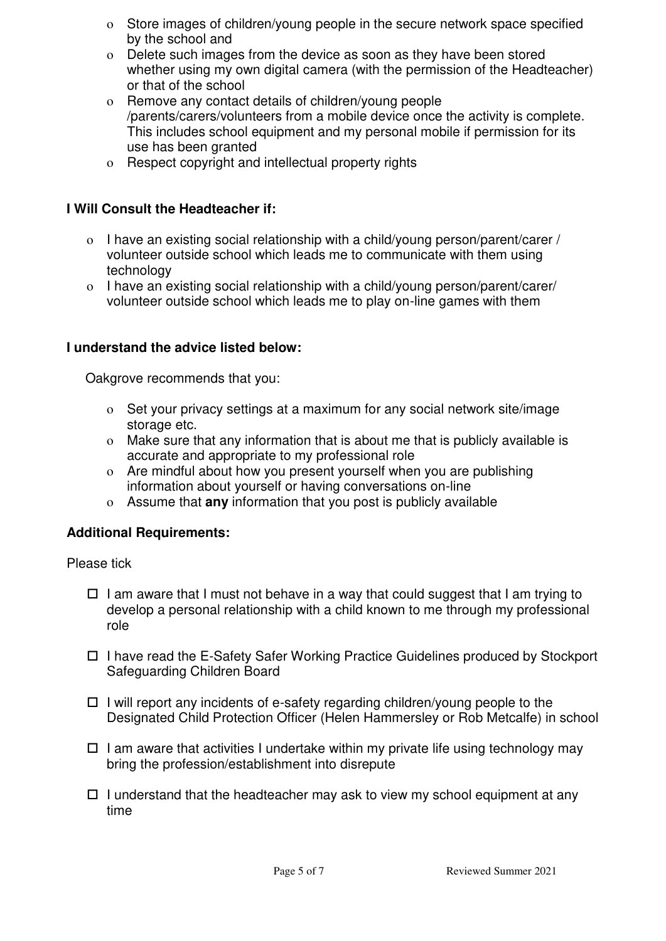- o Store images of children/young people in the secure network space specified by the school and
- o Delete such images from the device as soon as they have been stored whether using my own digital camera (with the permission of the Headteacher) or that of the school
- o Remove any contact details of children/young people /parents/carers/volunteers from a mobile device once the activity is complete. This includes school equipment and my personal mobile if permission for its use has been granted
- o Respect copyright and intellectual property rights

## **I Will Consult the Headteacher if:**

- o I have an existing social relationship with a child/young person/parent/carer / volunteer outside school which leads me to communicate with them using technology
- o I have an existing social relationship with a child/young person/parent/carer/ volunteer outside school which leads me to play on-line games with them

## **I understand the advice listed below:**

Oakgrove recommends that you:

- o Set your privacy settings at a maximum for any social network site/image storage etc.
- o Make sure that any information that is about me that is publicly available is accurate and appropriate to my professional role
- o Are mindful about how you present yourself when you are publishing information about yourself or having conversations on-line
- o Assume that **any** information that you post is publicly available

#### **Additional Requirements:**

Please tick

- $\Box$  I am aware that I must not behave in a way that could suggest that I am trying to develop a personal relationship with a child known to me through my professional role
- $\Box$  I have read the E-Safety Safer Working Practice Guidelines produced by Stockport Safeguarding Children Board
- $\Box$  I will report any incidents of e-safety regarding children/young people to the Designated Child Protection Officer (Helen Hammersley or Rob Metcalfe) in school
- $\Box$  I am aware that activities I undertake within my private life using technology may bring the profession/establishment into disrepute
- $\Box$  I understand that the headteacher may ask to view my school equipment at any time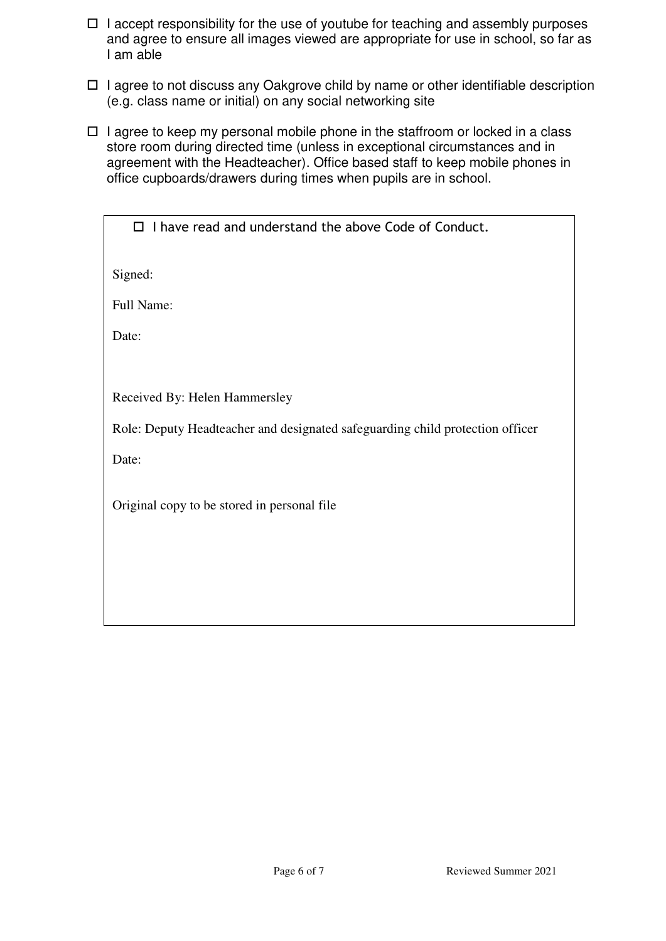- $\Box$  I accept responsibility for the use of youtube for teaching and assembly purposes and agree to ensure all images viewed are appropriate for use in school, so far as I am able
- $\Box$  I agree to not discuss any Oakgrove child by name or other identifiable description (e.g. class name or initial) on any social networking site
- $\Box$  I agree to keep my personal mobile phone in the staffroom or locked in a class store room during directed time (unless in exceptional circumstances and in agreement with the Headteacher). Office based staff to keep mobile phones in office cupboards/drawers during times when pupils are in school.

 $\Box$  I have read and understand the above Code of Conduct.

Signed:

Full Name:

Date:

Received By: Helen Hammersley

Role: Deputy Headteacher and designated safeguarding child protection officer

Date:

Original copy to be stored in personal file